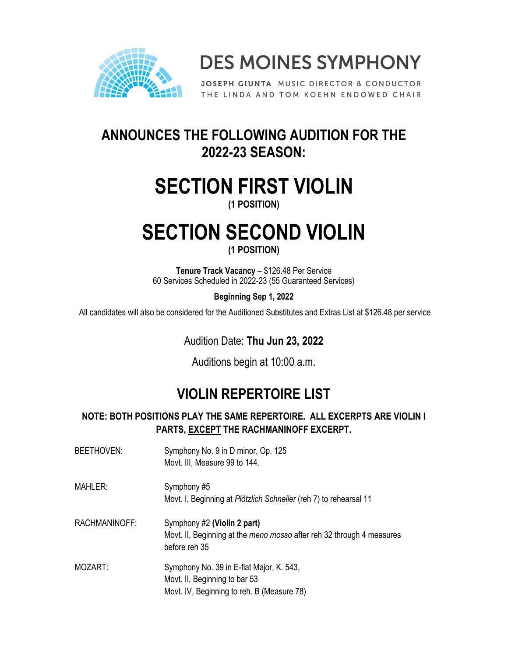

**DES MOINES SYMPHONY** 

JOSEPH GIUNTA MUSIC DIRECTOR & CONDUCTOR THE LINDA AND TOM KOEHN ENDOWED CHAIR

### **ANNOUNCES THE FOLLOWING AUDITION FOR THE 2022-23 SEASON:**

## **SECTION FIRST VIOLIN**

**(1 POSITION)**

# **SECTION SECOND VIOLIN**

**(1 POSITION)**

**Tenure Track Vacancy** – \$126.48 Per Service 60 Services Scheduled in 2022-23 (55 Guaranteed Services)

**Beginning Sep 1, 2022** 

All candidates will also be considered for the Auditioned Substitutes and Extras List at \$126.48 per service

Audition Date: **Thu Jun 23, 2022**

Auditions begin at 10:00 a.m.

## **VIOLIN REPERTOIRE LIST**

#### **NOTE: BOTH POSITIONS PLAY THE SAME REPERTOIRE. ALL EXCERPTS ARE VIOLIN I PARTS, EXCEPT THE RACHMANINOFF EXCERPT.**

| BEETHOVEN:    | Symphony No. 9 in D minor, Op. 125<br>Movt. III, Measure 99 to 144.                                                     |
|---------------|-------------------------------------------------------------------------------------------------------------------------|
| MAHLER:       | Symphony #5<br>Movt. I, Beginning at Plötzlich Schneller (reh 7) to rehearsal 11                                        |
| RACHMANINOFF: | Symphony #2 (Violin 2 part)<br>Movt. II, Beginning at the meno mosso after reh 32 through 4 measures<br>before reh 35   |
| MOZART:       | Symphony No. 39 in E-flat Major, K. 543,<br>Movt. II, Beginning to bar 53<br>Movt. IV, Beginning to reh. B (Measure 78) |